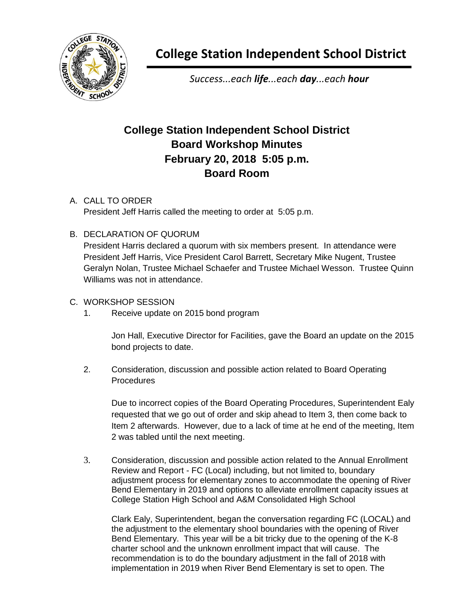

**College Station Independent School District**

*Success...each life...each day...each hour*

## **College Station Independent School District Board Workshop Minutes February 20, 2018 5:05 p.m. Board Room**

## A. CALL TO ORDER

President Jeff Harris called the meeting to order at 5:05 p.m.

## B. DECLARATION OF QUORUM

President Harris declared a quorum with six members present. In attendance were President Jeff Harris, Vice President Carol Barrett, Secretary Mike Nugent, Trustee Geralyn Nolan, Trustee Michael Schaefer and Trustee Michael Wesson. Trustee Quinn Williams was not in attendance.

## C. WORKSHOP SESSION

1. Receive update on 2015 bond program

Jon Hall, Executive Director for Facilities, gave the Board an update on the 2015 bond projects to date.

2. Consideration, discussion and possible action related to Board Operating **Procedures** 

Due to incorrect copies of the Board Operating Procedures, Superintendent Ealy requested that we go out of order and skip ahead to Item 3, then come back to Item 2 afterwards. However, due to a lack of time at he end of the meeting, Item 2 was tabled until the next meeting.

3. Consideration, discussion and possible action related to the Annual Enrollment Review and Report - FC (Local) including, but not limited to, boundary adjustment process for elementary zones to accommodate the opening of River Bend Elementary in 2019 and options to alleviate enrollment capacity issues at College Station High School and A&M Consolidated High School

Clark Ealy, Superintendent, began the conversation regarding FC (LOCAL) and the adjustment to the elementary shool boundaries with the opening of River Bend Elementary. This year will be a bit tricky due to the opening of the K-8 charter school and the unknown enrollment impact that will cause. The recommendation is to do the boundary adjustment in the fall of 2018 with implementation in 2019 when River Bend Elementary is set to open. The